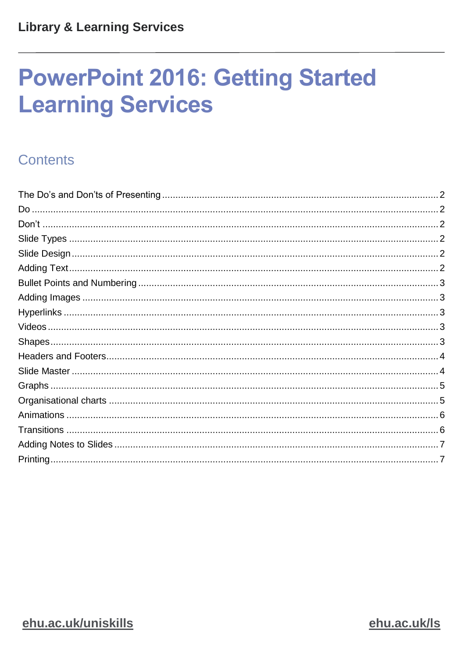# **PowerPoint 2016: Getting Started Learning Services**

# Contents

ehu.ac.uk/Is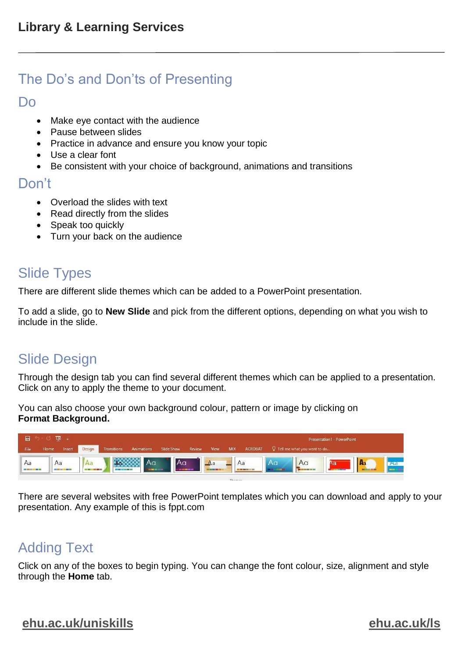# <span id="page-1-0"></span>The Do's and Don'ts of Presenting

#### <span id="page-1-1"></span>Do

- Make eye contact with the audience
- Pause between slides
- Practice in advance and ensure you know your topic
- Use a clear font
- Be consistent with your choice of background, animations and transitions

#### <span id="page-1-2"></span>Don't

- Overload the slides with text
- Read directly from the slides
- Speak too quickly
- Turn your back on the audience

# <span id="page-1-3"></span>Slide Types

There are different slide themes which can be added to a PowerPoint presentation.

To add a slide, go to **New Slide** and pick from the different options, depending on what you wish to include in the slide.

# <span id="page-1-4"></span>Slide Design

Through the design tab you can find several different themes which can be applied to a presentation. Click on any to apply the theme to your document.

You can also choose your own background colour, pattern or image by clicking on **Format Background.**

| 日                                       | $\overline{L\otimes}$ =<br>Presentation1 - PowerPoint |                                  |                                     |                                                  |                         |            |        |                                       |     |                                                                                                                                                                                                                                                                                                                                                                                                    |    |                                            |                         |              |    |
|-----------------------------------------|-------------------------------------------------------|----------------------------------|-------------------------------------|--------------------------------------------------|-------------------------|------------|--------|---------------------------------------|-----|----------------------------------------------------------------------------------------------------------------------------------------------------------------------------------------------------------------------------------------------------------------------------------------------------------------------------------------------------------------------------------------------------|----|--------------------------------------------|-------------------------|--------------|----|
| File                                    | Home                                                  | Insert                           | Design                              | <b>Transitions</b>                               | Animations              | Slide Show | Review | View,                                 | MIX | <b>ACROBAT</b>                                                                                                                                                                                                                                                                                                                                                                                     |    | Tell me what you want to do                |                         |              |    |
| Aa<br><b>CARD BOOK AND WAR WANT ONE</b> |                                                       | Aa<br><b>COLORADO DE ANGELES</b> | l Aa<br><b>CALCULATION</b><br>a Tan | <b>ARRARA</b><br><b>BATTER DATE AND RESEARCH</b> | Aa<br><b>STATISTICS</b> | Aa         |        | A <sub>a</sub><br><b>DISTURBANCES</b> |     | Aa<br>$\frac{1}{2} \frac{1}{2} \frac{1}{2} \frac{1}{2} \frac{1}{2} \frac{1}{2} \frac{1}{2} \frac{1}{2} \frac{1}{2} \frac{1}{2} \frac{1}{2} \frac{1}{2} \frac{1}{2} \frac{1}{2} \frac{1}{2} \frac{1}{2} \frac{1}{2} \frac{1}{2} \frac{1}{2} \frac{1}{2} \frac{1}{2} \frac{1}{2} \frac{1}{2} \frac{1}{2} \frac{1}{2} \frac{1}{2} \frac{1}{2} \frac{1}{2} \frac{1}{2} \frac{1}{2} \frac{1}{2} \frac{$ | Aa | Aa<br><b>THE ART WAS THE THEFT OF THE </b> | Aa<br><b>CONTRACTOR</b> | $\mathbf{A}$ | Aa |

There are several websites with free PowerPoint templates which you can download and apply to your presentation. Any example of this is fppt.com

# <span id="page-1-5"></span>Adding Text

Click on any of the boxes to begin typing. You can change the font colour, size, alignment and style through the **Home** tab.

#### **[ehu.ac.uk/uniskills](file:///C:/Users/nolanj/AppData/Local/Microsoft/Windows/INetCache/Content.Outlook/LNOQ5CPD/ehu.ac.uk/uniskills) [ehu.ac.uk/ls](file:///C:/Users/nolanj/AppData/Local/Microsoft/Windows/INetCache/Content.Outlook/LNOQ5CPD/ehu.ac.uk/ls)**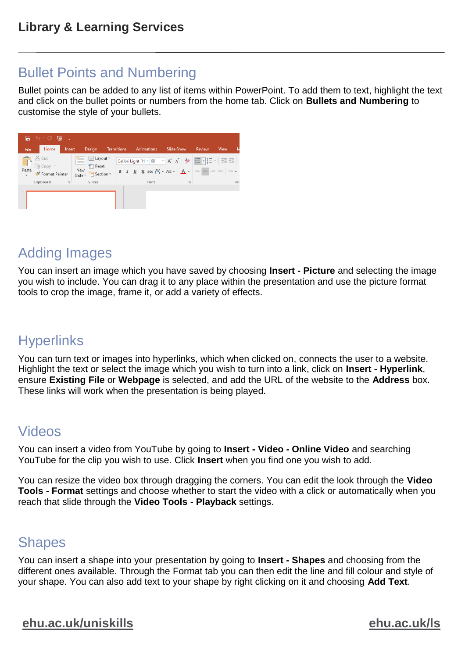# <span id="page-2-0"></span>Bullet Points and Numbering

Bullet points can be added to any list of items within PowerPoint. To add them to text, highlight the text and click on the bullet points or numbers from the home tab. Click on **Bullets and Numbering** to customise the style of your bullets.

| 日 ち・ぴ 顶<br>in a                                             |                                                                                                  |                           |                          |                                                                                                                                                                                                                                                                                                                                                                                                           |  |  |  |  |  |  |  |  |  |  |
|-------------------------------------------------------------|--------------------------------------------------------------------------------------------------|---------------------------|--------------------------|-----------------------------------------------------------------------------------------------------------------------------------------------------------------------------------------------------------------------------------------------------------------------------------------------------------------------------------------------------------------------------------------------------------|--|--|--|--|--|--|--|--|--|--|
| Home<br>Insert<br><b>File</b>                               | Design                                                                                           | Transitions<br>Animations | <b>Slide Show</b>        | Review<br>View                                                                                                                                                                                                                                                                                                                                                                                            |  |  |  |  |  |  |  |  |  |  |
| A X Cut<br>B lig Copy v<br>Paste $\sqrt{\ }$ Format Painter | E Layout *<br>進<br>Reset<br>New<br>Slide <del>-</del><br>$\frac{1}{\sqrt{2}}$ Section $\sqrt{2}$ |                           |                          | Calibri Light (H $\star$ 60 $\rightarrow$ A <sup>*</sup> A <sup>*</sup> $\downarrow$ 4 $\left  \frac{1}{12} - \frac{1}{32} - \star \right $ $\left  \frac{1}{32} \right  \geq$<br><b>B</b> $I \perp I$ <b>S</b> abc $\overset{AV}{\leftrightarrow}$ Aa $\cdot$ $\mid$ $\overset{A}{\wedge}$ $\cdot$ $\mid$ $\overset{=}{\equiv}$ $\overset{=}{\equiv}$ $\overset{=}{\equiv}$ $\mid$ $\overset{=}{\equiv}$ |  |  |  |  |  |  |  |  |  |  |
| Clipboard<br>$\overline{u}$                                 | Slides                                                                                           | Font                      | $\overline{\mathrm{Fm}}$ | Par                                                                                                                                                                                                                                                                                                                                                                                                       |  |  |  |  |  |  |  |  |  |  |
|                                                             |                                                                                                  |                           |                          |                                                                                                                                                                                                                                                                                                                                                                                                           |  |  |  |  |  |  |  |  |  |  |

# <span id="page-2-1"></span>Adding Images

You can insert an image which you have saved by choosing **Insert - Picture** and selecting the image you wish to include. You can drag it to any place within the presentation and use the picture format tools to crop the image, frame it, or add a variety of effects.

# <span id="page-2-2"></span>**Hyperlinks**

You can turn text or images into hyperlinks, which when clicked on, connects the user to a website. Highlight the text or select the image which you wish to turn into a link, click on **Insert - Hyperlink**, ensure **Existing File** or **Webpage** is selected, and add the URL of the website to the **Address** box. These links will work when the presentation is being played.

# <span id="page-2-3"></span>Videos

You can insert a video from YouTube by going to **Insert - Video - Online Video** and searching YouTube for the clip you wish to use. Click **Insert** when you find one you wish to add.

You can resize the video box through dragging the corners. You can edit the look through the **Video Tools - Format** settings and choose whether to start the video with a click or automatically when you reach that slide through the **Video Tools - Playback** settings.

### <span id="page-2-4"></span>**Shapes**

You can insert a shape into your presentation by going to **Insert - Shapes** and choosing from the different ones available. Through the Format tab you can then edit the line and fill colour and style of your shape. You can also add text to your shape by right clicking on it and choosing **Add Text**.

#### **[ehu.ac.uk/uniskills](file:///C:/Users/nolanj/AppData/Local/Microsoft/Windows/INetCache/Content.Outlook/LNOQ5CPD/ehu.ac.uk/uniskills) [ehu.ac.uk/ls](file:///C:/Users/nolanj/AppData/Local/Microsoft/Windows/INetCache/Content.Outlook/LNOQ5CPD/ehu.ac.uk/ls)**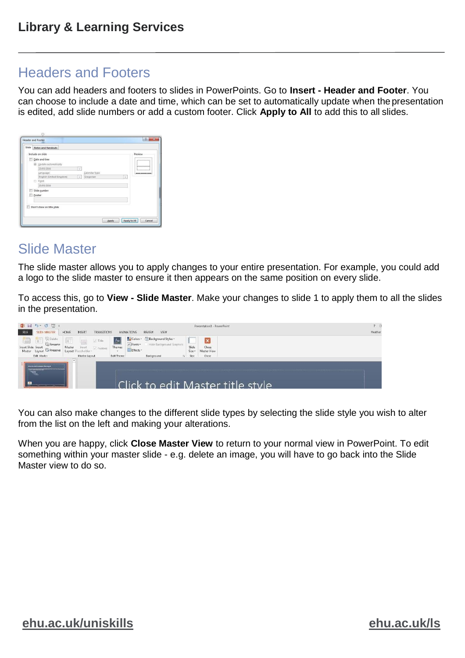### <span id="page-3-0"></span>Headers and Footers

You can add headers and footers to slides in PowerPoints. Go to **Insert - Header and Footer**. You can choose to include a date and time, which can be set to automatically update when the presentation is edited, add slide numbers or add a custom footer. Click **Apply to All** to add this to all slides.

|   | Include on slide          |                                       | Preview                 |  |  |  |  |  |  |
|---|---------------------------|---------------------------------------|-------------------------|--|--|--|--|--|--|
| m | Date and time             |                                       |                         |  |  |  |  |  |  |
|   | @ Update automatically    |                                       |                         |  |  |  |  |  |  |
|   | 23/05/2016                | ×                                     |                         |  |  |  |  |  |  |
|   | Language:                 | Calendar type:                        |                         |  |  |  |  |  |  |
|   | English (United Kingdom)  | Gregorian<br>$\overline{\phantom{a}}$ | $\overline{\mathbf{v}}$ |  |  |  |  |  |  |
|   | $\circ$<br>Fixed          |                                       |                         |  |  |  |  |  |  |
|   | 23/05/2016                |                                       |                         |  |  |  |  |  |  |
| 旧 | Slide number<br>Footer    |                                       |                         |  |  |  |  |  |  |
|   |                           |                                       |                         |  |  |  |  |  |  |
|   | Don't show on title slide |                                       |                         |  |  |  |  |  |  |

#### <span id="page-3-1"></span>Slide Master

The slide master allows you to apply changes to your entire presentation. For example, you could add a logo to the slide master to ensure it then appears on the same position on every slide.

To access this, go to **View - Slide Master**. Make your changes to slide 1 to apply them to all the slides in the presentation.

| 图目ちている。<br>FILE<br><b>SLIDE MASTER</b>                                                         | HOME<br><b>INSERT</b><br><b>TRANSITIONS</b>                                                       | ANIMATIONS                                           | VIEW<br>REVIEW                                                                           |                       | Presentation1 - PowerPoint       | 7 <sub>z</sub><br>Heather |
|------------------------------------------------------------------------------------------------|---------------------------------------------------------------------------------------------------|------------------------------------------------------|------------------------------------------------------------------------------------------|-----------------------|----------------------------------|---------------------------|
| 值<br>Sc Delete<br>C. Rename<br>Insert Slide Insert<br>Master Layout Le Preserve<br>Edit Master | 扉<br>$\sqrt{ }$ Title<br>Master<br>Footers<br>Insert<br>Layout<br>acebolder<br>Master Layout<br>× | Aa<br>A Fonts +<br>Themes<br>Effects +<br>Edit Theme | Colors > Si Background Styles +<br>Hide Background Graphics<br>Background<br>$T_{\rm H}$ | Slide<br>Size<br>Size | Close<br>Master View<br>Close    |                           |
| Click to work Mader tibe dure<br>$\equiv$                                                      |                                                                                                   |                                                      |                                                                                          |                       | Click to edit Master title style |                           |

You can also make changes to the different slide types by selecting the slide style you wish to alter from the list on the left and making your alterations.

When you are happy, click **Close Master View** to return to your normal view in PowerPoint. To edit something within your master slide - e.g. delete an image, you will have to go back into the Slide Master view to do so.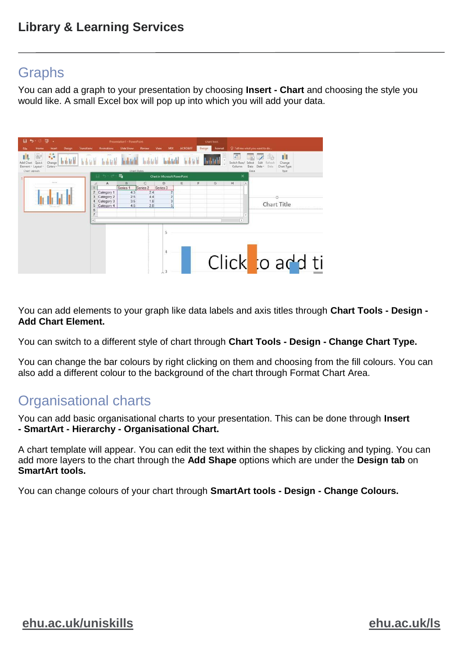# <span id="page-4-0"></span>Graphs

You can add a graph to your presentation by choosing **Insert - Chart** and choosing the style you would like. A small Excel box will pop up into which you will add your data.



You can add elements to your graph like data labels and axis titles through **Chart Tools - Design - Add Chart Element.**

You can switch to a different style of chart through **Chart Tools - Design - Change Chart Type.**

You can change the bar colours by right clicking on them and choosing from the fill colours. You can also add a different colour to the background of the chart through Format Chart Area.

# <span id="page-4-1"></span>Organisational charts

You can add basic organisational charts to your presentation. This can be done through **Insert - SmartArt - Hierarchy - Organisational Chart.**

A chart template will appear. You can edit the text within the shapes by clicking and typing. You can add more layers to the chart through the **Add Shape** options which are under the **Design tab** on **SmartArt tools.**

You can change colours of your chart through **SmartArt tools - Design - Change Colours.**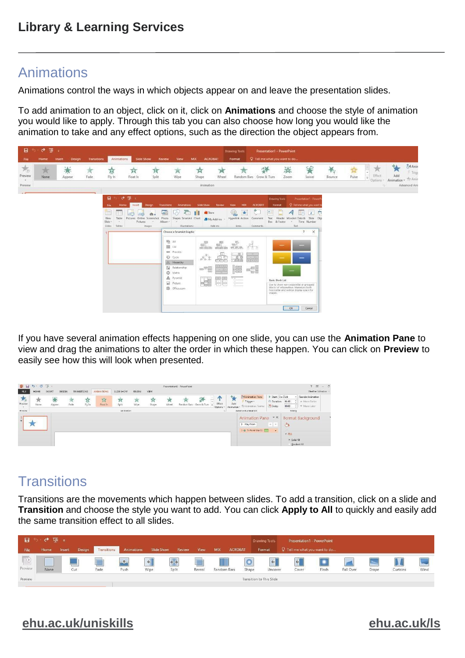### <span id="page-5-0"></span>Animations

Animations control the ways in which objects appear on and leave the presentation slides.

To add animation to an object, click on it, click on **Animations** and choose the style of animation you would like to apply. Through this tab you can also choose how long you would like the animation to take and any effect options, such as the direction the object appears from.



If you have several animation effects happening on one slide, you can use the **Animation Pane** to view and drag the animations to alter the order in which these happen. You can click on **Preview** to easily see how this will look when presented.

| 21 日<br>FILE                                                       | $5 - 0 = 0$<br>HOME | <b>INSERT</b> | DESIGN | <b>TRANSITIONS</b> | <b>ANIMATIONS</b>               | SLIDE SHOW               | REVIEW     | VIEW  |       | Presentation1 - PowerPoint |                                             |                                |                                                                                       |                                                                    |                                                      |                                                     | 7 国<br>Heather Johnston | $ B$ |
|--------------------------------------------------------------------|---------------------|---------------|--------|--------------------|---------------------------------|--------------------------|------------|-------|-------|----------------------------|---------------------------------------------|--------------------------------|---------------------------------------------------------------------------------------|--------------------------------------------------------------------|------------------------------------------------------|-----------------------------------------------------|-------------------------|------|
| $\mathcal{F}_{\mathbf{0}}$<br>Preview<br>$\mathcal{L}$<br>Preview: | None                | m<br>Appear   | Fade:  | 琢<br>Fly In        | $\mathcal{R}$<br><b>Hoat In</b> | ٦t<br>Spite<br>Animation | Ж<br>Wipe: | Shape | Wheel |                            | Effect<br>Random Bars Grow & Tum<br>Options | 44<br>Add<br>Animation +<br>u. | <b>Zel Animation Pane</b><br>Trigger -<br>The Animation Painter<br>Advanced Animation | Start On Click<br>C Duration:<br>( <sup>6</sup> ) Delay:           | 01.00<br>00.00<br>Timing                             | Reorder Animation<br>A Move Earlier<br># Move Later |                         |      |
|                                                                    |                     |               |        |                    |                                 |                          |            |       |       |                            |                                             |                                | <b>Animation Pane</b><br><b>D</b> Play From<br>1 * 5-Point Star 11                    | $x \times$<br>$\mathcal{M}=\mathcal{M}_{\mathcal{C}}$<br>$\bullet$ | $\Diamond$<br>ATIII<br>· Solid fill<br>Gradient fill | Format Background                                   |                         |      |

# <span id="page-5-1"></span>**Transitions**

Transitions are the movements which happen between slides. To add a transition, click on a slide and **Transition** and choose the style you want to add. You can click **Apply to All** to quickly and easily add the same transition effect to all slides.

| -8                       | $\sigma$ to $\sigma$ |        |        |             |               |              |        |        |             |                |       | Drawing Tools            | Presentation1 - PowerPoint    |       |           |       |          |      |
|--------------------------|----------------------|--------|--------|-------------|---------------|--------------|--------|--------|-------------|----------------|-------|--------------------------|-------------------------------|-------|-----------|-------|----------|------|
| File                     | Home                 | Insert | Design | Transitions | Animations    | Slide Show   | Review | View   | MIX         | <b>ACROBAT</b> |       | Format                   | Q Tell me what you want to do |       |           |       |          |      |
| $\overline{\phantom{a}}$ |                      |        |        |             | $\rightarrow$ | $\leftarrow$ | €Э     |        |             |                |       | $\leftarrow$             | $\triangleleft$               |       |           |       |          |      |
| Preview                  | <b>None</b>          |        | Cut    | Fade        | Push          | Wipe         | Split  | Reveal | Random Bars |                | Shape | Uncover                  | Cover                         | Flash | Fall Over | Drape | Curtains | Wind |
| Preview                  |                      |        |        |             |               |              |        |        |             |                |       | Transition to This Slide |                               |       |           |       |          |      |

# **[ehu.ac.uk/uniskills](file:///C:/Users/nolanj/AppData/Local/Microsoft/Windows/INetCache/Content.Outlook/LNOQ5CPD/ehu.ac.uk/uniskills) [ehu.ac.uk/ls](file:///C:/Users/nolanj/AppData/Local/Microsoft/Windows/INetCache/Content.Outlook/LNOQ5CPD/ehu.ac.uk/ls)**